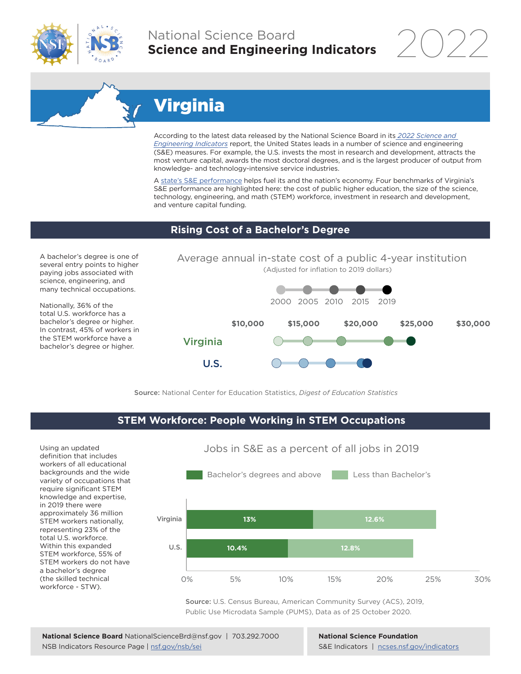

## National Science Board **Science and Engineering Indicators**

2022

# Virginia

According to the latest data released by the National Science Board in its *[2022 Science and](https://www.ncses.nsf.gov/indicators)  [Engineering Indicators](https://www.ncses.nsf.gov/indicators)* report, the United States leads in a number of science and engineering (S&E) measures. For example, the U.S. invests the most in research and development, attracts the most venture capital, awards the most doctoral degrees, and is the largest producer of output from knowledge- and technology-intensive service industries.

A state's S&E performance helps fuel its and the nation's economy. Four benchmarks of Virginia's S&E performance are highlighted here: the cost of public higher education, the size of the science, technology, engineering, and math (STEM) workforce, investment in research and development, and venture capital funding.

#### **Rising Cost of a Bachelor's Degree**

A bachelor's degree is one of several entry points to higher paying jobs associated with science, engineering, and many technical occupations.

Nationally, 36% of the total U.S. workforce has a bachelor's degree or higher. In contrast, 45% of workers in the STEM workforce have a bachelor's degree or higher.



Source: National Center for Education Statistics, *Digest of Education Statistics*

### **STEM Workforce: People Working in STEM Occupations**

U.S.

Using an updated definition that includes workers of all educational backgrounds and the wide variety of occupations that require significant STEM knowledge and expertise, in 2019 there were approximately 36 million STEM workers nationally, representing 23% of the total U.S. workforce. Within this expanded STEM workforce, 55% of STEM workers do not have a bachelor's degree (the skilled technical workforce - STW).



Jobs in S&E as a percent of all jobs in 2019

Source: U.S. Census Bureau, American Community Survey (ACS), 2019, Public Use Microdata Sample (PUMS), Data as of 25 October 2020.

**National Science Foundation** S&E Indicators | [ncses.nsf.gov/indicators](https://www.ncses.nsf.gov/indicators)